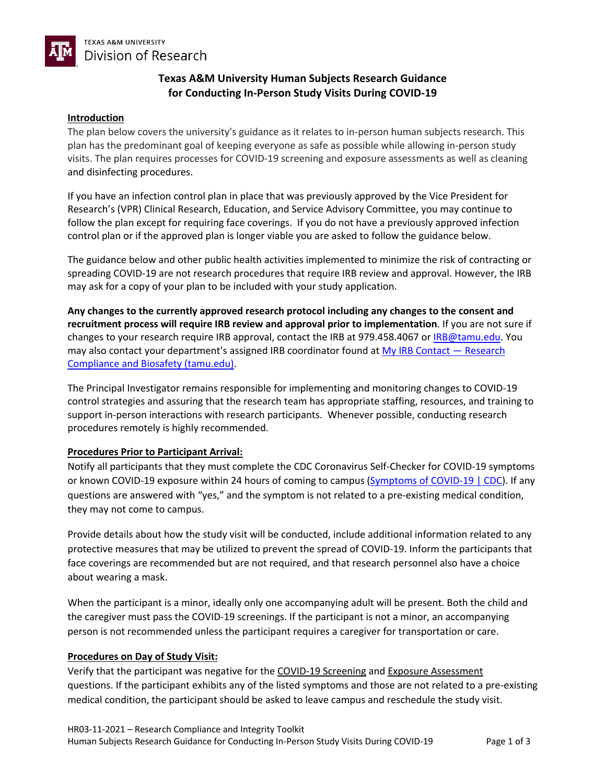

# **Texas A&M University Human Subjects Research Guidance for Conducting In-Person Study Visits During COVID-19**

#### **Introduction**

The plan below covers the university's guidance as it relates to in-person human subjects research. This plan has the predominant goal of keeping everyone as safe as possible while allowing in-person study visits. The plan requires processes for COVID-19 screening and exposure assessments as well as cleaning and disinfecting procedures.

If you have an infection control plan in place that was previously approved by the Vice President for Research's (VPR) Clinical Research, Education, and Service Advisory Committee, you may continue to follow the plan except for requiring face coverings. If you do not have a previously approved infection control plan or if the approved plan is longer viable you are asked to follow the guidance below.

The guidance below and other public health activities implemented to minimize the risk of contracting or spreading COVID-19 are not research procedures that require IRB review and approval. However, the IRB may ask for a copy of your plan to be included with your study application.

**Any changes to the currently approved research protocol including any changes to the consent and recruitment process will require IRB review and approval prior to implementation**. If you are not sure if changes to your research require IRB approval, contact the IRB at 979.458.4067 or IRB@tamu.edu. You may also contact your department's assigned IRB coordinator found at  $My$  IRB Contact  $-$  Research Compliance and Biosafety (tamu.edu).

The Principal Investigator remains responsible for implementing and monitoring changes to COVID-19 control strategies and assuring that the research team has appropriate staffing, resources, and training to support in-person interactions with research participants. Whenever possible, conducting research procedures remotely is highly recommended.

#### **Procedures Prior to Participant Arrival:**

Notify all participants that they must complete the CDC Coronavirus Self-Checker for COVID-19 symptoms or known COVID-19 exposure within 24 hours of coming to campus (Symptoms of COVID-19 | CDC). If any questions are answered with "yes," and the symptom is not related to a pre-existing medical condition, they may not come to campus.

Provide details about how the study visit will be conducted, include additional information related to any protective measures that may be utilized to prevent the spread of COVID-19. Inform the participants that face coverings are recommended but are not required, and that research personnel also have a choice about wearing a mask.

When the participant is a minor, ideally only one accompanying adult will be present. Both the child and the caregiver must pass the COVID-19 screenings. If the participant is not a minor, an accompanying person is not recommended unless the participant requires a caregiver for transportation or care.

#### **Procedures on Day of Study Visit:**

Verify that the participant was negative for the COVID-19 Screening and Exposure Assessment questions. If the participant exhibits any of the listed symptoms and those are not related to a pre-existing medical condition, the participant should be asked to leave campus and reschedule the study visit.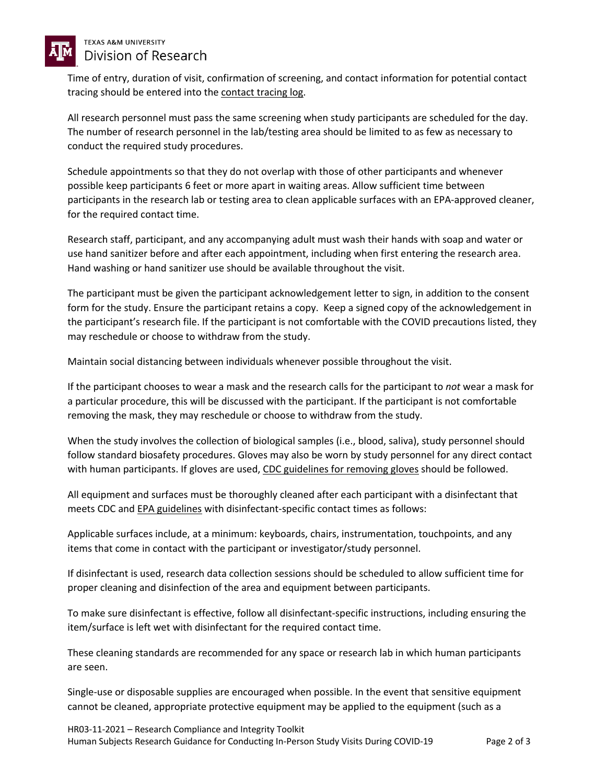

### **TEXAS A&M UNIVERSITY** Division of Research

Time of entry, duration of visit, confirmation of screening, and contact information for potential contact tracing should be entered into the contact tracing log.

All research personnel must pass the same screening when study participants are scheduled for the day. The number of research personnel in the lab/testing area should be limited to as few as necessary to conduct the required study procedures.

Schedule appointments so that they do not overlap with those of other participants and whenever possible keep participants 6 feet or more apart in waiting areas. Allow sufficient time between participants in the research lab or testing area to clean applicable surfaces with an EPA-approved cleaner, for the required contact time.

Research staff, participant, and any accompanying adult must wash their hands with soap and water or use hand sanitizer before and after each appointment, including when first entering the research area. Hand washing or hand sanitizer use should be available throughout the visit.

The participant must be given the participant acknowledgement letter to sign, in addition to the consent form for the study. Ensure the participant retains a copy. Keep a signed copy of the acknowledgement in the participant's research file. If the participant is not comfortable with the COVID precautions listed, they may reschedule or choose to withdraw from the study.

Maintain social distancing between individuals whenever possible throughout the visit.

If the participant chooses to wear a mask and the research calls for the participant to *not* wear a mask for a particular procedure, this will be discussed with the participant. If the participant is not comfortable removing the mask, they may reschedule or choose to withdraw from the study.

When the study involves the collection of biological samples (i.e., blood, saliva), study personnel should follow standard biosafety procedures. Gloves may also be worn by study personnel for any direct contact with human participants. If gloves are used, CDC guidelines for removing gloves should be followed.

All equipment and surfaces must be thoroughly cleaned after each participant with a disinfectant that meets CDC and EPA guidelines with disinfectant-specific contact times as follows:

Applicable surfaces include, at a minimum: keyboards, chairs, instrumentation, touchpoints, and any items that come in contact with the participant or investigator/study personnel.

If disinfectant is used, research data collection sessions should be scheduled to allow sufficient time for proper cleaning and disinfection of the area and equipment between participants.

To make sure disinfectant is effective, follow all disinfectant-specific instructions, including ensuring the item/surface is left wet with disinfectant for the required contact time.

These cleaning standards are recommended for any space or research lab in which human participants are seen.

Single-use or disposable supplies are encouraged when possible. In the event that sensitive equipment cannot be cleaned, appropriate protective equipment may be applied to the equipment (such as a